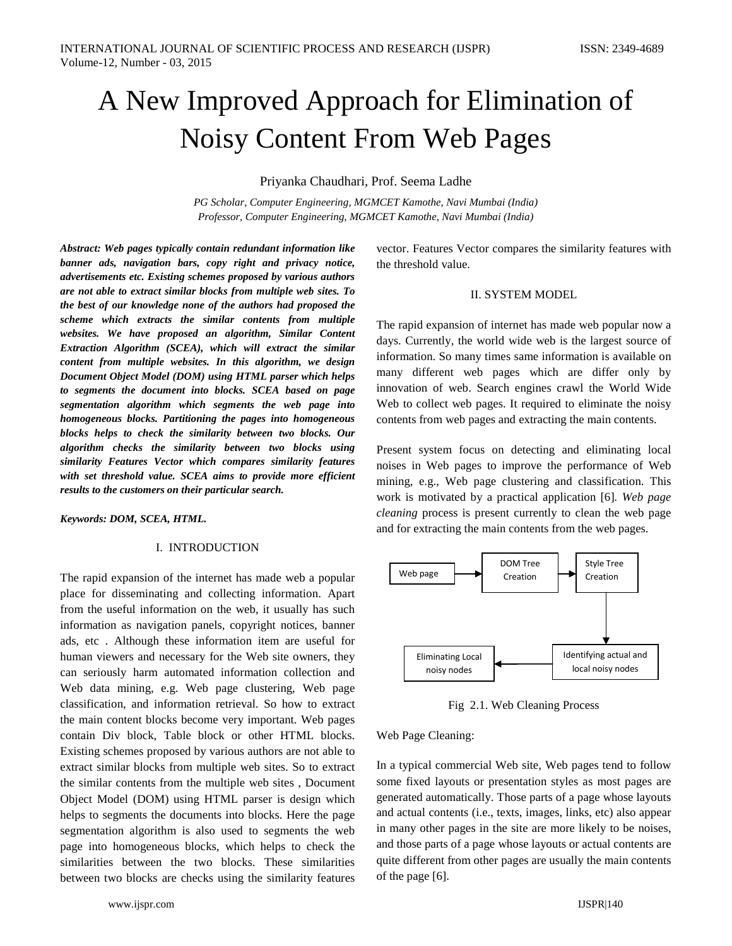# A New Improved Approach for Elimination of Noisy Content From Web Pages

Priyanka Chaudhari, Prof. Seema Ladhe

*PG Scholar, Computer Engineering, MGMCET Kamothe, Navi Mumbai (India) Professor, Computer Engineering, MGMCET Kamothe, Navi Mumbai (India)*

*Abstract: Web pages typically contain redundant information like banner ads, navigation bars, copy right and privacy notice, advertisements etc. Existing schemes proposed by various authors are not able to extract similar blocks from multiple web sites. To the best of our knowledge none of the authors had proposed the scheme which extracts the similar contents from multiple websites. We have proposed an algorithm, Similar Content Extraction Algorithm (SCEA), which will extract the similar content from multiple websites. In this algorithm, we design Document Object Model (DOM) using HTML parser which helps to segments the document into blocks. SCEA based on page segmentation algorithm which segments the web page into homogeneous blocks. Partitioning the pages into homogeneous blocks helps to check the similarity between two blocks. Our algorithm checks the similarity between two blocks using similarity Features Vector which compares similarity features with set threshold value. SCEA aims to provide more efficient results to the customers on their particular search.*

*Keywords: DOM, SCEA, HTML.*

#### I. INTRODUCTION

The rapid expansion of the internet has made web a popular place for disseminating and collecting information. Apart from the useful information on the web, it usually has such information as navigation panels, copyright notices, banner ads, etc . Although these information item are useful for human viewers and necessary for the Web site owners, they can seriously harm automated information collection and Web data mining, e.g. Web page clustering, Web page classification, and information retrieval. So how to extract the main content blocks become very important. Web pages contain Div block, Table block or other HTML blocks. Existing schemes proposed by various authors are not able to extract similar blocks from multiple web sites. So to extract the similar contents from the multiple web sites , Document Object Model (DOM) using HTML parser is design which helps to segments the documents into blocks. Here the page segmentation algorithm is also used to segments the web page into homogeneous blocks, which helps to check the similarities between the two blocks. These similarities between two blocks are checks using the similarity features

vector. Features Vector compares the similarity features with the threshold value.

## II. SYSTEM MODEL

The rapid expansion of internet has made web popular now a days. Currently, the world wide web is the largest source of information. So many times same information is available on many different web pages which are differ only by innovation of web. Search engines crawl the World Wide Web to collect web pages. It required to eliminate the noisy contents from web pages and extracting the main contents.

Present system focus on detecting and eliminating local noises in Web pages to improve the performance of Web mining, e.g., Web page clustering and classification. This work is motivated by a practical application [6]*. Web page cleaning* process is present currently to clean the web page and for extracting the main contents from the web pages.



Fig 2.1. Web Cleaning Process

#### Web Page Cleaning:

In a typical commercial Web site, Web pages tend to follow some fixed layouts or presentation styles as most pages are generated automatically. Those parts of a page whose layouts and actual contents (i.e., texts, images, links, etc) also appear in many other pages in the site are more likely to be noises, and those parts of a page whose layouts or actual contents are quite different from other pages are usually the main contents of the page [6].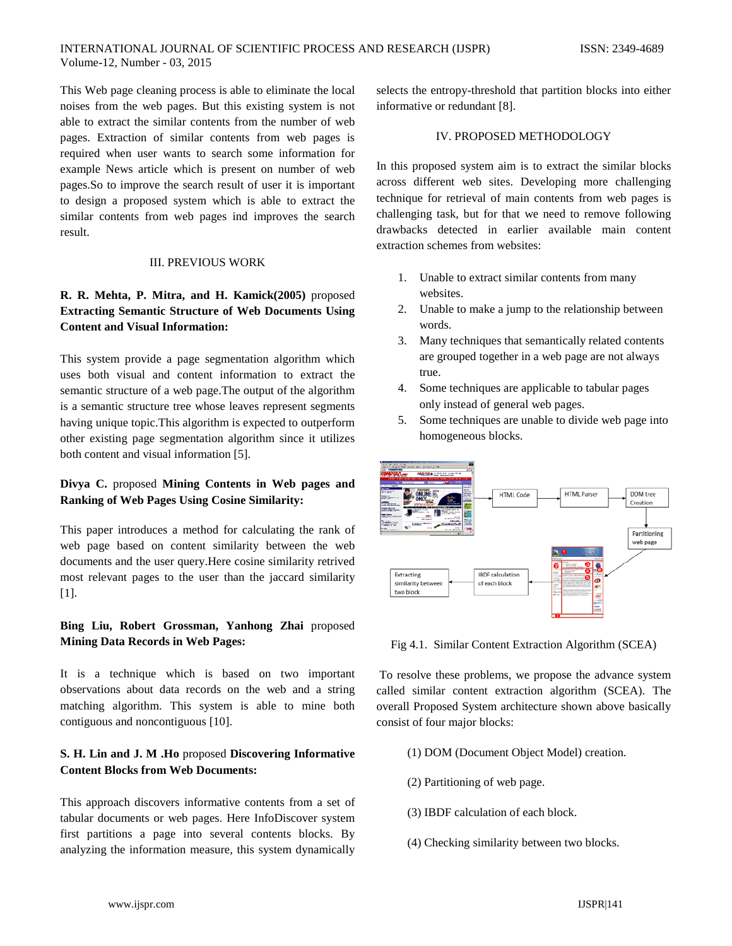This Web page cleaning process is able to eliminate the local noises from the web pages. But this existing system is not able to extract the similar contents from the number of web pages. Extraction of similar contents from web pages is required when user wants to search some information for example News article which is present on number of web pages.So to improve the search result of user it is important to design a proposed system which is able to extract the similar contents from web pages ind improves the search result.

## III. PREVIOUS WORK

# **R. R. Mehta, P. Mitra, and H. Kamick(2005)** proposed **Extracting Semantic Structure of Web Documents Using Content and Visual Information:**

This system provide a page segmentation algorithm which uses both visual and content information to extract the semantic structure of a web page.The output of the algorithm is a semantic structure tree whose leaves represent segments having unique topic.This algorithm is expected to outperform other existing page segmentation algorithm since it utilizes both content and visual information [5].

# **Divya C.** proposed **Mining Contents in Web pages and Ranking of Web Pages Using Cosine Similarity:**

This paper introduces a method for calculating the rank of web page based on content similarity between the web documents and the user query.Here cosine similarity retrived most relevant pages to the user than the jaccard similarity [1].

## **Bing Liu, Robert Grossman, Yanhong Zhai** proposed **Mining Data Records in Web Pages:**

It is a technique which is based on two important observations about data records on the web and a string matching algorithm. This system is able to mine both contiguous and noncontiguous [10].

# **S. H. Lin and J. M .Ho** proposed **Discovering Informative Content Blocks from Web Documents:**

This approach discovers informative contents from a set of tabular documents or web pages. Here InfoDiscover system first partitions a page into several contents blocks. By analyzing the information measure, this system dynamically

selects the entropy-threshold that partition blocks into either informative or redundant [8].

#### IV. PROPOSED METHODOLOGY

In this proposed system aim is to extract the similar blocks across different web sites. Developing more challenging technique for retrieval of main contents from web pages is challenging task, but for that we need to remove following drawbacks detected in earlier available main content extraction schemes from websites:

- 1. Unable to extract similar contents from many websites.
- 2. Unable to make a jump to the relationship between words.
- 3. Many techniques that semantically related contents are grouped together in a web page are not always true.
- 4. Some techniques are applicable to tabular pages only instead of general web pages.
- 5. Some techniques are unable to divide web page into homogeneous blocks.



Fig 4.1. Similar Content Extraction Algorithm (SCEA)

To resolve these problems, we propose the advance system called similar content extraction algorithm (SCEA). The overall Proposed System architecture shown above basically consist of four major blocks:

- (1) DOM (Document Object Model) creation.
- (2) Partitioning of web page.
- (3) IBDF calculation of each block.
- (4) Checking similarity between two blocks.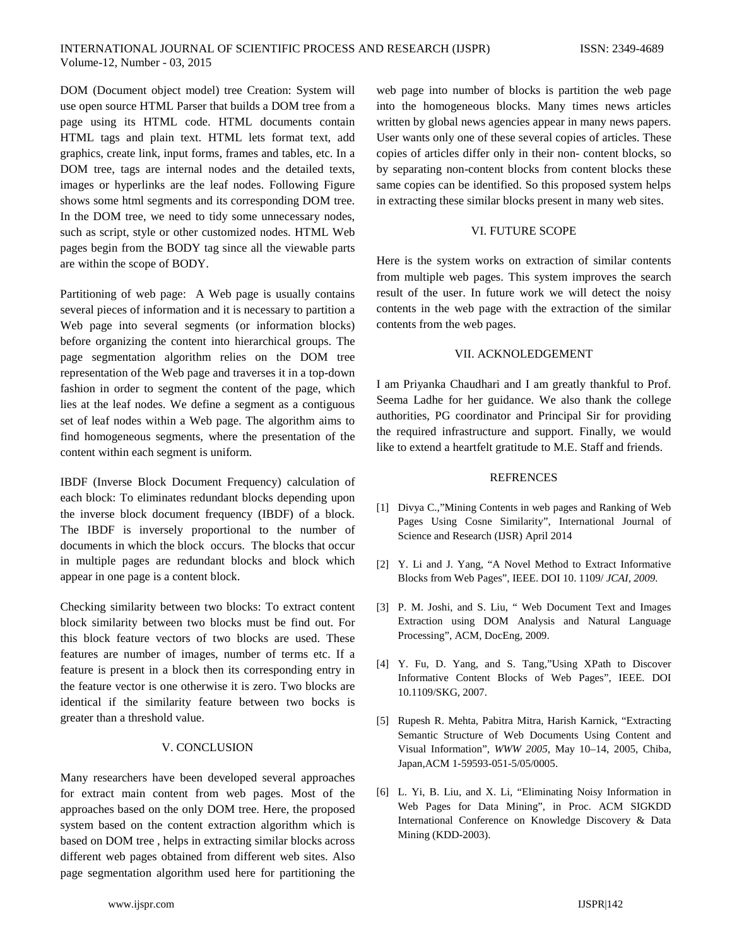DOM (Document object model) tree Creation: System will use open source HTML Parser that builds a DOM tree from a page using its HTML code. HTML documents contain HTML tags and plain text. HTML lets format text, add graphics, create link, input forms, frames and tables, etc. In a DOM tree, tags are internal nodes and the detailed texts, images or hyperlinks are the leaf nodes. Following Figure shows some html segments and its corresponding DOM tree. In the DOM tree, we need to tidy some unnecessary nodes, such as script, style or other customized nodes. HTML Web pages begin from the BODY tag since all the viewable parts are within the scope of BODY.

Partitioning of web page: A Web page is usually contains several pieces of information and it is necessary to partition a Web page into several segments (or information blocks) before organizing the content into hierarchical groups. The page segmentation algorithm relies on the DOM tree representation of the Web page and traverses it in a top-down fashion in order to segment the content of the page, which lies at the leaf nodes. We define a segment as a contiguous set of leaf nodes within a Web page. The algorithm aims to find homogeneous segments, where the presentation of the content within each segment is uniform.

IBDF (Inverse Block Document Frequency) calculation of each block: To eliminates redundant blocks depending upon the inverse block document frequency (IBDF) of a block. The IBDF is inversely proportional to the number of documents in which the block occurs. The blocks that occur in multiple pages are redundant blocks and block which appear in one page is a content block.

Checking similarity between two blocks: To extract content block similarity between two blocks must be find out. For this block feature vectors of two blocks are used. These features are number of images, number of terms etc. If a feature is present in a block then its corresponding entry in the feature vector is one otherwise it is zero. Two blocks are identical if the similarity feature between two bocks is greater than a threshold value.

## V. CONCLUSION

Many researchers have been developed several approaches for extract main content from web pages. Most of the approaches based on the only DOM tree. Here, the proposed system based on the content extraction algorithm which is based on DOM tree , helps in extracting similar blocks across different web pages obtained from different web sites. Also page segmentation algorithm used here for partitioning the

web page into number of blocks is partition the web page into the homogeneous blocks. Many times news articles written by global news agencies appear in many news papers. User wants only one of these several copies of articles. These copies of articles differ only in their non- content blocks, so by separating non-content blocks from content blocks these same copies can be identified. So this proposed system helps in extracting these similar blocks present in many web sites.

### VI. FUTURE SCOPE

Here is the system works on extraction of similar contents from multiple web pages. This system improves the search result of the user. In future work we will detect the noisy contents in the web page with the extraction of the similar contents from the web pages.

## VII. ACKNOLEDGEMENT

I am Priyanka Chaudhari and I am greatly thankful to Prof. Seema Ladhe for her guidance. We also thank the college authorities, PG coordinator and Principal Sir for providing the required infrastructure and support. Finally, we would like to extend a heartfelt gratitude to M.E. Staff and friends.

#### REFRENCES

- [1] Divya C.,"Mining Contents in web pages and Ranking of Web Pages Using Cosne Similarity", International Journal of Science and Research (IJSR) April 2014
- [2] Y. Li and J. Yang, "A Novel Method to Extract Informative Blocks from Web Pages", IEEE. DOI 10. 1109/ *JCAI, 2009.*
- [3] P. M. Joshi, and S. Liu, " Web Document Text and Images Extraction using DOM Analysis and Natural Language Processing", ACM, DocEng, 2009.
- [4] Y. Fu, D. Yang, and S. Tang,"Using XPath to Discover Informative Content Blocks of Web Pages", IEEE. DOI 10.1109/SKG, 2007.
- [5] Rupesh R. Mehta, Pabitra Mitra, Harish Karnick, "Extracting Semantic Structure of Web Documents Using Content and Visual Information", *WWW 2005,* May 10–14, 2005, Chiba, Japan,ACM 1-59593-051-5/05/0005.
- [6] L. Yi, B. Liu, and X. Li, "Eliminating Noisy Information in Web Pages for Data Mining", in Proc. ACM SIGKDD International Conference on Knowledge Discovery & Data Mining (KDD-2003).